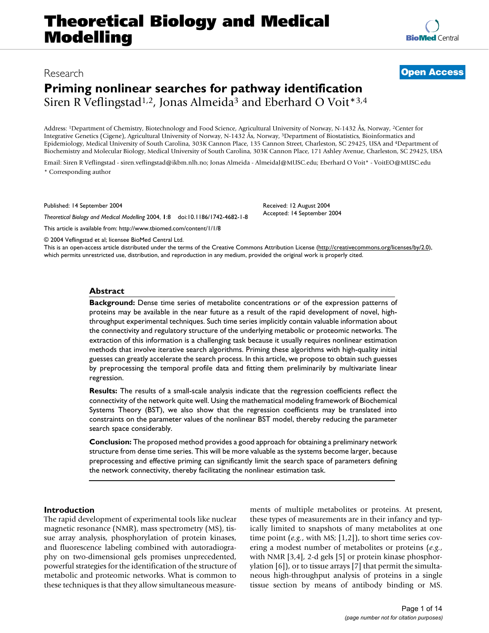# **Theoretical Biology and Medical Modelling**

# **Priming nonlinear searches for pathway identification** Siren R Veflingstad<sup>1,2</sup>, Jonas Almeida<sup>3</sup> and Eberhard O Voit<sup>\*3,4</sup>

Address: 1Department of Chemistry, Biotechnology and Food Science, Agricultural University of Norway, N-1432 Ås, Norway, 2Center for Integrative Genetics (Cigene), Agricultural University of Norway, N-1432 Ås, Norway, 3Department of Biostatistics, Bioinformatics and Epidemiology, Medical University of South Carolina, 303K Cannon Place, 135 Cannon Street, Charleston, SC 29425, USA and 4Department of Biochemistry and Molecular Biology, Medical University of South Carolina, 303K Cannon Place, 171 Ashley Avenue, Charleston, SC 29425, USA

Email: Siren R Veflingstad - siren.veflingstad@ikbm.nlh.no; Jonas Almeida - AlmeidaJ@MUSC.edu; Eberhard O Voit\* - VoitEO@MUSC.edu \* Corresponding author

Published: 14 September 2004

*Theoretical Biology and Medical Modelling* 2004, **1**:8 doi:10.1186/1742-4682-1-8

[This article is available from: http://www.tbiomed.com/content/1/1/8](http://www.tbiomed.com/content/1/1/8)

Received: 12 August 2004 Accepted: 14 September 2004

© 2004 Veflingstad et al; licensee BioMed Central Ltd.

This is an open-access article distributed under the terms of the Creative Commons Attribution License (<http://creativecommons.org/licenses/by/2.0>), which permits unrestricted use, distribution, and reproduction in any medium, provided the original work is properly cited.

## **Abstract**

**Background:** Dense time series of metabolite concentrations or of the expression patterns of proteins may be available in the near future as a result of the rapid development of novel, highthroughput experimental techniques. Such time series implicitly contain valuable information about the connectivity and regulatory structure of the underlying metabolic or proteomic networks. The extraction of this information is a challenging task because it usually requires nonlinear estimation methods that involve iterative search algorithms. Priming these algorithms with high-quality initial guesses can greatly accelerate the search process. In this article, we propose to obtain such guesses by preprocessing the temporal profile data and fitting them preliminarily by multivariate linear regression.

**Results:** The results of a small-scale analysis indicate that the regression coefficients reflect the connectivity of the network quite well. Using the mathematical modeling framework of Biochemical Systems Theory (BST), we also show that the regression coefficients may be translated into constraints on the parameter values of the nonlinear BST model, thereby reducing the parameter search space considerably.

**Conclusion:** The proposed method provides a good approach for obtaining a preliminary network structure from dense time series. This will be more valuable as the systems become larger, because preprocessing and effective priming can significantly limit the search space of parameters defining the network connectivity, thereby facilitating the nonlinear estimation task.

## **Introduction**

The rapid development of experimental tools like nuclear magnetic resonance (NMR), mass spectrometry (MS), tissue array analysis, phosphorylation of protein kinases, and fluorescence labeling combined with autoradiography on two-dimensional gels promises unprecedented, powerful strategies for the identification of the structure of metabolic and proteomic networks. What is common to these techniques is that they allow simultaneous measurements of multiple metabolites or proteins. At present, these types of measurements are in their infancy and typically limited to snapshots of many metabolites at one time point (*e.g.*, with MS; [1,2]), to short time series covering a modest number of metabolites or proteins (*e.g.*, with NMR [3,4], 2-d gels [5] or protein kinase phosphorylation [6]), or to tissue arrays [7] that permit the simultaneous high-throughput analysis of proteins in a single tissue section by means of antibody binding or MS.



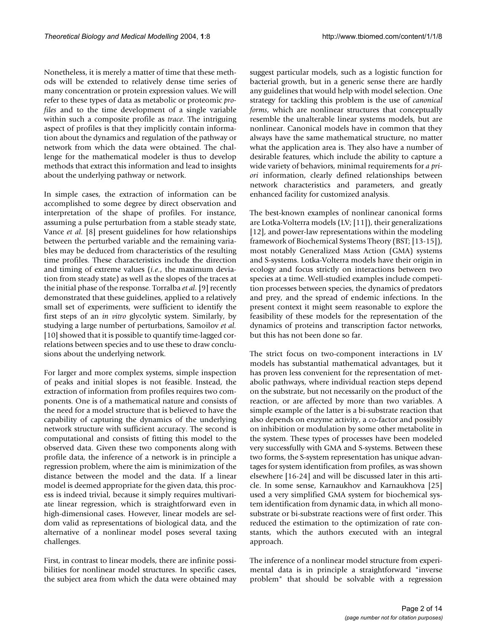Nonetheless, it is merely a matter of time that these methods will be extended to relatively dense time series of many concentration or protein expression values. We will refer to these types of data as metabolic or proteomic *profiles* and to the time development of a single variable within such a composite profile as *trace*. The intriguing aspect of profiles is that they implicitly contain information about the dynamics and regulation of the pathway or network from which the data were obtained. The challenge for the mathematical modeler is thus to develop methods that extract this information and lead to insights about the underlying pathway or network.

In simple cases, the extraction of information can be accomplished to some degree by direct observation and interpretation of the shape of profiles. For instance, assuming a pulse perturbation from a stable steady state, Vance *et al.* [8] present guidelines for how relationships between the perturbed variable and the remaining variables may be deduced from characteristics of the resulting time profiles. These characteristics include the direction and timing of extreme values (*i.e.*, the maximum deviation from steady state) as well as the slopes of the traces at the initial phase of the response. Torralba *et al.* [9] recently demonstrated that these guidelines, applied to a relatively small set of experiments, were sufficient to identify the first steps of an *in vitro* glycolytic system. Similarly, by studying a large number of perturbations, Samoilov *et al.* [10] showed that it is possible to quantify time-lagged correlations between species and to use these to draw conclusions about the underlying network.

For larger and more complex systems, simple inspection of peaks and initial slopes is not feasible. Instead, the extraction of information from profiles requires two components. One is of a mathematical nature and consists of the need for a model structure that is believed to have the capability of capturing the dynamics of the underlying network structure with sufficient accuracy. The second is computational and consists of fitting this model to the observed data. Given these two components along with profile data, the inference of a network is in principle a regression problem, where the aim is minimization of the distance between the model and the data. If a linear model is deemed appropriate for the given data, this process is indeed trivial, because it simply requires multivariate linear regression, which is straightforward even in high-dimensional cases. However, linear models are seldom valid as representations of biological data, and the alternative of a nonlinear model poses several taxing challenges.

First, in contrast to linear models, there are infinite possibilities for nonlinear model structures. In specific cases, the subject area from which the data were obtained may suggest particular models, such as a logistic function for bacterial growth, but in a generic sense there are hardly any guidelines that would help with model selection. One strategy for tackling this problem is the use of *canonical forms*, which are nonlinear structures that conceptually resemble the unalterable linear systems models, but are nonlinear. Canonical models have in common that they always have the same mathematical structure, no matter what the application area is. They also have a number of desirable features, which include the ability to capture a wide variety of behaviors, minimal requirements for *a priori* information, clearly defined relationships between network characteristics and parameters, and greatly enhanced facility for customized analysis.

The best-known examples of nonlinear canonical forms are Lotka-Volterra models (LV; [11]), their generalizations [12], and power-law representations within the modeling framework of Biochemical Systems Theory (BST; [13-15]), most notably Generalized Mass Action (GMA) systems and S-systems. Lotka-Volterra models have their origin in ecology and focus strictly on interactions between two species at a time. Well-studied examples include competition processes between species, the dynamics of predators and prey, and the spread of endemic infections. In the present context it might seem reasonable to explore the feasibility of these models for the representation of the dynamics of proteins and transcription factor networks, but this has not been done so far.

The strict focus on two-component interactions in LV models has substantial mathematical advantages, but it has proven less convenient for the representation of metabolic pathways, where individual reaction steps depend on the substrate, but not necessarily on the product of the reaction, or are affected by more than two variables. A simple example of the latter is a bi-substrate reaction that also depends on enzyme activity, a co-factor and possibly on inhibition or modulation by some other metabolite in the system. These types of processes have been modeled very successfully with GMA and S-systems. Between these two forms, the S-system representation has unique advantages for system identification from profiles, as was shown elsewhere [16-24] and will be discussed later in this article. In some sense, Karnaukhov and Karnaukhova [25] used a very simplified GMA system for biochemical system identification from dynamic data, in which all monosubstrate or bi-substrate reactions were of first order. This reduced the estimation to the optimization of rate constants, which the authors executed with an integral approach.

The inference of a nonlinear model structure from experimental data is in principle a straightforward "inverse problem" that should be solvable with a regression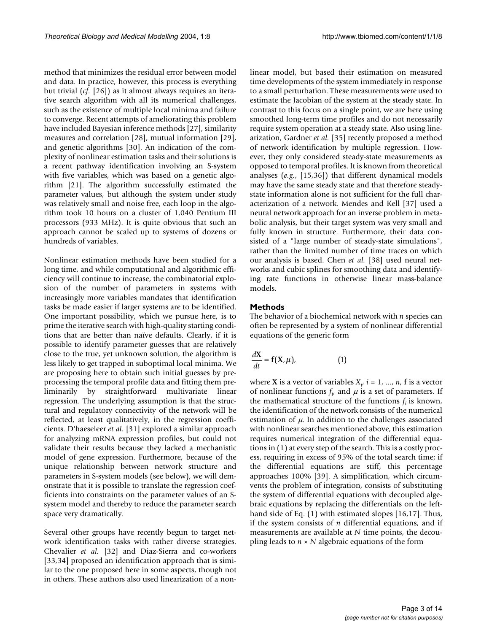method that minimizes the residual error between model and data. In practice, however, this process is everything but trivial (*cf.* [26]) as it almost always requires an iterative search algorithm with all its numerical challenges, such as the existence of multiple local minima and failure to converge. Recent attempts of ameliorating this problem have included Bayesian inference methods [27], similarity measures and correlation [28], mutual information [29], and genetic algorithms [30]. An indication of the complexity of nonlinear estimation tasks and their solutions is a recent pathway identification involving an S-system with five variables, which was based on a genetic algorithm [21]. The algorithm successfully estimated the parameter values, but although the system under study was relatively small and noise free, each loop in the algorithm took 10 hours on a cluster of 1,040 Pentium III processors (933 MHz). It is quite obvious that such an approach cannot be scaled up to systems of dozens or hundreds of variables.

Nonlinear estimation methods have been studied for a long time, and while computational and algorithmic efficiency will continue to increase, the combinatorial explosion of the number of parameters in systems with increasingly more variables mandates that identification tasks be made easier if larger systems are to be identified. One important possibility, which we pursue here, is to prime the iterative search with high-quality starting conditions that are better than naïve defaults. Clearly, if it is possible to identify parameter guesses that are relatively close to the true, yet unknown solution, the algorithm is less likely to get trapped in suboptimal local minima. We are proposing here to obtain such initial guesses by preprocessing the temporal profile data and fitting them preliminarily by straightforward multivariate linear regression. The underlying assumption is that the structural and regulatory connectivity of the network will be reflected, at least qualitatively, in the regression coefficients. D'haeseleer *et al.* [31] explored a similar approach for analyzing mRNA expression profiles, but could not validate their results because they lacked a mechanistic model of gene expression. Furthermore, because of the unique relationship between network structure and parameters in S-system models (see below), we will demonstrate that it is possible to translate the regression coefficients into constraints on the parameter values of an Ssystem model and thereby to reduce the parameter search space very dramatically.

Several other groups have recently begun to target network identification tasks with rather diverse strategies. Chevalier *et al.* [32] and Diaz-Sierra and co-workers [33,34] proposed an identification approach that is similar to the one proposed here in some aspects, though not in others. These authors also used linearization of a nonlinear model, but based their estimation on measured time developments of the system immediately in response to a small perturbation. These measurements were used to estimate the Jacobian of the system at the steady state. In contrast to this focus on a single point, we are here using smoothed long-term time profiles and do not necessarily require system operation at a steady state. Also using linearization, Gardner *et al.* [35] recently proposed a method of network identification by multiple regression. However, they only considered steady-state measurements as opposed to temporal profiles. It is known from theoretical analyses (*e.g.*, [15,36]) that different dynamical models may have the same steady state and that therefore steadystate information alone is not sufficient for the full characterization of a network. Mendes and Kell [37] used a neural network approach for an inverse problem in metabolic analysis, but their target system was very small and fully known in structure. Furthermore, their data consisted of a "large number of steady-state simulations", rather than the limited number of time traces on which our analysis is based. Chen *et al.* [38] used neural networks and cubic splines for smoothing data and identifying rate functions in otherwise linear mass-balance models.

## **Methods**

The behavior of a biochemical network with *n* species can often be represented by a system of nonlinear differential equations of the generic form

$$
\frac{dX}{dt} = f(X, \mu), \tag{1}
$$

where **X** is a vector of variables  $X_i$ ,  $i = 1, ..., n$ , **f** is a vector of nonlinear functions  $f_{i'}$  and  $\mu$  is a set of parameters. If the mathematical structure of the functions  $f_i$  is known, the identification of the network consists of the numerical estimation of  $\mu$ . In addition to the challenges associated with nonlinear searches mentioned above, this estimation requires numerical integration of the differential equations in (1) at every step of the search. This is a costly process, requiring in excess of 95% of the total search time; if the differential equations are stiff, this percentage approaches 100% [39]. A simplification, which circumvents the problem of integration, consists of substituting the system of differential equations with decoupled algebraic equations by replacing the differentials on the lefthand side of Eq. (1) with estimated slopes [16,17]. Thus, if the system consists of *n* differential equations, and if measurements are available at *N* time points, the decoupling leads to  $n \times N$  algebraic equations of the form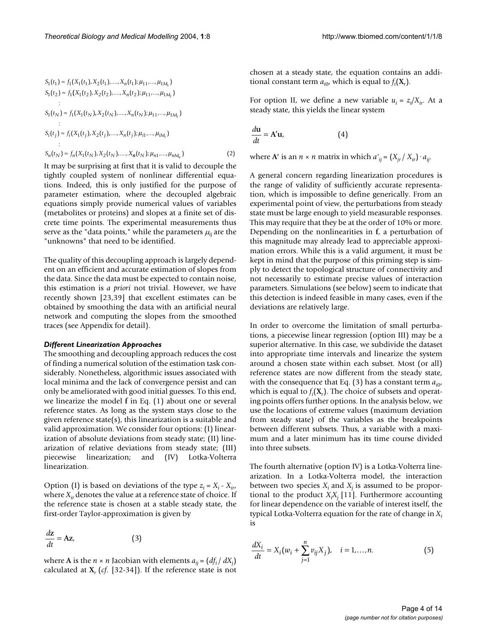$$
S_1(t_1) \approx f_1(X_1(t_1), X_2(t_1), ..., X_n(t_1); \mu_{11}, ..., \mu_{1M_1})
$$
  
\n
$$
S_1(t_2) \approx f_1(X_1(t_2), X_2(t_2), ..., X_n(t_2); \mu_{11}, ..., \mu_{1M_1})
$$
  
\n
$$
\vdots
$$
  
\n
$$
S_1(t_N) \approx f_1(X_1(t_N), X_2(t_N), ..., X_n(t_N); \mu_{11}, ..., \mu_{1M_1})
$$
  
\n
$$
\vdots
$$
  
\n
$$
S_i(t_j) \approx f_i(X_1(t_j), X_2(t_j), ..., X_n(t_j); \mu_{i1}, ..., \mu_{iM_i})
$$
  
\n
$$
\vdots
$$
  
\n
$$
S_n(t_N) \approx f_n(X_1(t_N), X_2(t_N), ..., X_n(t_N); \mu_{n1}, ..., \mu_{nM_n})
$$
  
\n(2)

It may be surprising at first that it is valid to decouple the tightly coupled system of nonlinear differential equations. Indeed, this is only justified for the purpose of parameter estimation, where the decoupled algebraic equations simply provide numerical values of variables (metabolites or proteins) and slopes at a finite set of discrete time points. The experimental measurements thus serve as the "data points," while the parameters  $\mu_{ii}$  are the "unknowns" that need to be identified.

The quality of this decoupling approach is largely dependent on an efficient and accurate estimation of slopes from the data. Since the data must be expected to contain noise, this estimation is *a priori* not trivial. However, we have recently shown [23,39] that excellent estimates can be obtained by smoothing the data with an artificial neural network and computing the slopes from the smoothed traces (see Appendix for detail).

#### *Different Linearization Approaches*

The smoothing and decoupling approach reduces the cost of finding a numerical solution of the estimation task considerably. Nonetheless, algorithmic issues associated with local minima and the lack of convergence persist and can only be ameliorated with good initial guesses. To this end, we linearize the model **f** in Eq. (1) about one or several reference states. As long as the system stays close to the given reference state(s), this linearization is a suitable and valid approximation. We consider four options: (I) linearization of absolute deviations from steady state; (II) linearization of relative deviations from steady state; (III) piecewise linearization; and (IV) Lotka-Volterra linearization.

Option (I) is based on deviations of the type  $z_i = X_i - X_{ir}$ , where  $X_{ir}$  denotes the value at a reference state of choice. If the reference state is chosen at a stable steady state, the first-order Taylor-approximation is given by

$$
\frac{dz}{dt} = Az,\t(3)
$$

where **A** is the  $n \times n$  Jacobian with elements  $a_{ij} = \left( df_i / dX_j \right)$ calculated at  $X_r$  (*cf.* [32-34]). If the reference state is not chosen at a steady state, the equation contains an additional constant term  $a_{i0}$ , which is equal to  $f_i(\mathbf{X}_r)$ .

For option II, we define a new variable  $u_i = z_i/X_{ir}$ . At a steady state, this yields the linear system

$$
\frac{d\mathbf{u}}{dt} = \mathbf{A}'\mathbf{u},\tag{4}
$$

where **A'** is an  $n \times n$  matrix in which  $a'_{ij} = (X_{ir} / X_{ir}) \cdot a_{ij}$ .

A general concern regarding linearization procedures is the range of validity of sufficiently accurate representation, which is impossible to define generically. From an experimental point of view, the perturbations from steady state must be large enough to yield measurable responses. This may require that they be at the order of 10% or more. Depending on the nonlinearities in **f**, a perturbation of this magnitude may already lead to appreciable approximation errors. While this is a valid argument, it must be kept in mind that the purpose of this priming step is simply to detect the topological structure of connectivity and not necessarily to estimate precise values of interaction parameters. Simulations (see below) seem to indicate that this detection is indeed feasible in many cases, even if the deviations are relatively large.

In order to overcome the limitation of small perturbations, a piecewise linear regression (option III) may be a superior alternative. In this case, we subdivide the dataset into appropriate time intervals and linearize the system around a chosen state within each subset. Most (or all) reference states are now different from the steady state, with the consequence that Eq.  $(3)$  has a constant term  $a_{i0}$ , which is equal to *fi* (**X***<sup>r</sup>* ). The choice of subsets and operating points offers further options. In the analysis below, we use the locations of extreme values (maximum deviation from steady state) of the variables as the breakpoints between different subsets. Thus, a variable with a maximum and a later minimum has its time course divided into three subsets.

The fourth alternative (option IV) is a Lotka-Volterra linearization. In a Lotka-Volterra model, the interaction between two species  $X_i$  and  $X_j$  is assumed to be proportional to the product  $X_iX_j$  [11]. Furthermore accounting for linear dependence on the variable of interest itself, the typical Lotka-Volterra equation for the rate of change in *Xi* is

$$
\frac{dX_i}{dt} = X_i(w_i + \sum_{j=1}^n v_{ij} X_j), \quad i = 1,...,n.
$$
 (5)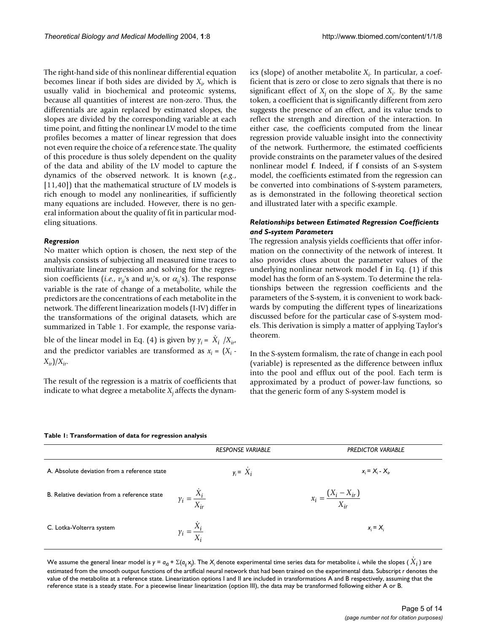The right-hand side of this nonlinear differential equation becomes linear if both sides are divided by  $X_{i'}$  which is usually valid in biochemical and proteomic systems, because all quantities of interest are non-zero. Thus, the differentials are again replaced by estimated slopes, the slopes are divided by the corresponding variable at each time point, and fitting the nonlinear LV model to the time profiles becomes a matter of linear regression that does not even require the choice of a reference state. The quality of this procedure is thus solely dependent on the quality of the data and ability of the LV model to capture the dynamics of the observed network. It is known (*e.g.*, [11,40]) that the mathematical structure of LV models is rich enough to model any nonlinearities, if sufficiently many equations are included. However, there is no general information about the quality of fit in particular modeling situations.

### *Regression*

No matter which option is chosen, the next step of the analysis consists of subjecting all measured time traces to multivariate linear regression and solving for the regression coefficients (*i.e.*,  $v_{ij}$ 's and  $w_i$ 's, or  $\alpha_{ij}$ 's). The response variable is the rate of change of a metabolite, while the predictors are the concentrations of each metabolite in the network. The different linearization models (I-IV) differ in the transformations of the original datasets, which are summarized in Table [1](#page-4-0). For example, the response varia-

ble of the linear model in Eq. (4) is given by  $y_i = \dot{X}_i / X_{ir}$ and the predictor variables are transformed as  $x_i = (X_i - )$  $X_{ir}$  $\frac{X_{ir}}{X_{ir}}$ 

The result of the regression is a matrix of coefficients that indicate to what degree a metabolite  $X_i$  affects the dynam-

ics (slope) of another metabolite *Xi* . In particular, a coefficient that is zero or close to zero signals that there is no significant effect of  $X_j$  on the slope of  $X_i$ . By the same token, a coefficient that is significantly different from zero suggests the presence of an effect, and its value tends to reflect the strength and direction of the interaction. In either case, the coefficients computed from the linear regression provide valuable insight into the connectivity of the network. Furthermore, the estimated coefficients provide constraints on the parameter values of the desired nonlinear model **f**. Indeed, if **f** consists of an S-system model, the coefficients estimated from the regression can be converted into combinations of S-system parameters, as is demonstrated in the following theoretical section and illustrated later with a specific example.

## *Relationships between Estimated Regression Coefficients and S-system Parameters*

The regression analysis yields coefficients that offer information on the connectivity of the network of interest. It also provides clues about the parameter values of the underlying nonlinear network model **f** in Eq. (1) if this model has the form of an S-system. To determine the relationships between the regression coefficients and the parameters of the S-system, it is convenient to work backwards by computing the different types of linearizations discussed before for the particular case of S-system models. This derivation is simply a matter of applying Taylor's theorem.

In the S-system formalism, the rate of change in each pool (variable) is represented as the difference between influx into the pool and efflux out of the pool. Each term is approximated by a product of power-law functions, so that the generic form of any S-system model is

<span id="page-4-0"></span>

|  |  |  |  |  | Table 1: Transformation of data for regression analysis |  |  |
|--|--|--|--|--|---------------------------------------------------------|--|--|
|--|--|--|--|--|---------------------------------------------------------|--|--|

|                                              | <b>RESPONSE VARIABLE</b>         | PREDICTOR VARIABLE                    |
|----------------------------------------------|----------------------------------|---------------------------------------|
| A. Absolute deviation from a reference state | $y_i = X_i$                      | $x_i = X_i - X_i$                     |
| B. Relative deviation from a reference state | $y_i = \frac{\dot{X}_i}{X_{ir}}$ | $x_i = \frac{(X_i - X_{ir})}{X_{ir}}$ |
| C. Lotka-Volterra system                     | $\gamma_i = \frac{X_i}{X_i}$     | $x_i = X_i$                           |

We assume the general linear model is  $y$  =  $a_{i0}$  +  $\Sigma(a_{ij}$ x<sub>j</sub>). The  $X_i$  denote experimental time series data for metabolite *i*, while the slopes (  $\dot{X}_i$  ) are estimated from the smooth output functions of the artificial neural network that had been trained on the experimental data. Subscript *r* denotes the value of the metabolite at a reference state. Linearization options I and II are included in transformations A and B respectively, assuming that the reference state is a steady state. For a piecewise linear linearization (option III), the data may be transformed following either A or B.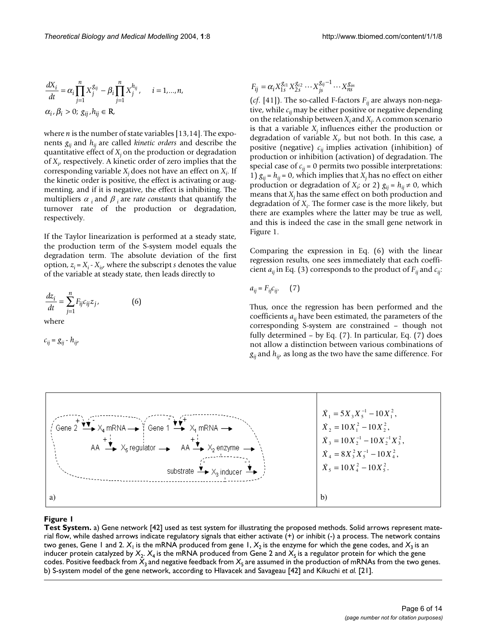$$
\frac{dX_i}{dt} = \alpha_i \prod_{j=1}^n X_j^{g_{ij}} - \beta_i \prod_{j=1}^n X_j^{h_{ij}}, \quad i = 1,...,n,
$$
  

$$
\alpha_i, \beta_i > 0; g_{ij}, h_{ij} \in \mathbf{R},
$$

where *n* is the number of state variables [13,14]. The exponents *gij* and *hij* are called *kinetic orders* and describe the quantitative effect of  $X_i$  on the production or degradation of *Xi* , respectively. A kinetic order of zero implies that the corresponding variable  $X_j$  does not have an effect on  $X_i$ . If the kinetic order is positive, the effect is activating or augmenting, and if it is negative, the effect is inhibiting. The multipliers  $\alpha_i$  and  $\beta_i$  are *rate constants* that quantify the turnover rate of the production or degradation, respectively.

If the Taylor linearization is performed at a steady state, the production term of the S-system model equals the degradation term. The absolute deviation of the first option,  $z_i = X_i - X_i$ , where the subscript *s* denotes the value of the variable at steady state, then leads directly to

$$
\frac{dz_i}{dt} = \sum_{j=1}^{n} F_{ij} c_{ij} z_j, \tag{6}
$$

where

$$
c_{ij} = g_{ij} - h_{ij'}
$$

$$
F_{ij} = \alpha_i X_{1s}^{g_{i1}}X_{2s}^{g_{i2}}\cdots X_{js}^{g_{ij}-1}\cdots X_{ns}^{g_{in}}
$$

(*cf.* [41]). The so-called F-factors  $F_{ii}$  are always non-negative, while *cij* may be either positive or negative depending on the relationship between *Xi* and *Xj* . A common scenario is that a variable  $X_i$  influences either the production or degradation of variable  $X_i$ , but not both. In this case, a positive (negative)  $c_{ij}$  implies activation (inhibition) of production or inhibition (activation) of degradation. The special case of  $c_{ij}$  = 0 permits two possible interpretations: 1)  $g_{ii} = h_{ii} = 0$ , which implies that  $X_i$  has no effect on either production or degradation of  $X_i$  or 2)  $g_{ij} = h_{ij} \neq 0$ , which means that  $X_i$  has the same effect on both production and degradation of *Xi* . The former case is the more likely, but there are examples where the latter may be true as well, and this is indeed the case in the small gene network in Figure 1.

Comparing the expression in Eq. (6) with the linear regression results, one sees immediately that each coefficient  $a_{ij}$  in Eq. (3) corresponds to the product of  $F_{ij}$  and  $c_{ij}$ :

$$
a_{ij} = F_{ij} c_{ij}. \qquad (7)
$$

Thus, once the regression has been performed and the coefficients *aij* have been estimated, the parameters of the corresponding S-system are constrained – though not fully determined – by Eq. (7). In particular, Eq. (7) does not allow a distinction between various combinations of  $g_{ij}$  and  $h_{ij}$ , as long as the two have the same difference. For



#### **Figure 1**

**Test System.** a) Gene network [42] used as test system for illustrating the proposed methods. Solid arrows represent material flow, while dashed arrows indicate regulatory signals that either activate (+) or inhibit (-) a process. The network contains two genes, Gene 1 and 2.  $X_1$  is the mRNA produced from gene 1,  $X_2$  is the enzyme for which the gene codes, and  $X_3$  is an inducer protein catalyzed by  $X_2$ .  $X_4$  is the mRNA produced from Gene 2 and  $X_5$  is a regulator protein for which the gene codes. Positive feedback from  $\bar{X}_3$  and negative feedback from  $X_5$  are assumed in the production of mRNAs from the two genes. b) S-system model of the gene network, according to Hlavacek and Savageau [42] and Kikuchi *et al.* [21].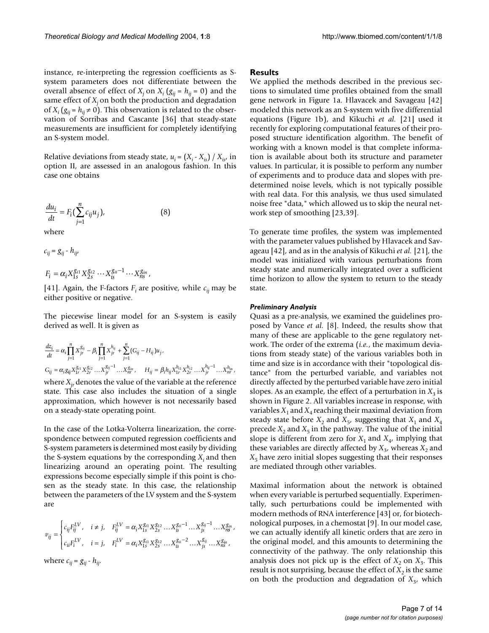instance, re-interpreting the regression coefficients as Ssystem parameters does not differentiate between the overall absence of effect of  $X_i$  on  $X_i$  ( $g_{ij} = h_{ij} = 0$ ) and the same effect of  $X_i$  on both the production and degradation of  $X_i$  ( $g_{ii} = h_{ii} \neq 0$ ). This observation is related to the observation of Sorribas and Cascante [36] that steady-state measurements are insufficient for completely identifying an S-system model.

Relative deviations from steady state,  $u_i = (X_i - X_i) / X_{i}$  in option II, are assessed in an analogous fashion. In this case one obtains

$$
\frac{du_i}{dt} = F_i(\sum_{j=1}^n c_{ij} u_j),\tag{8}
$$

where

 $c_{ij} = g_{ij} - h_{ij}$ 

 $F_i = \alpha_i X_{1s}^{g_{i1}} X_{2s}^{g_{i2}} \cdots X_{is}^{g_{ii}-1} \cdots X_{is}$ *s g*  $= \alpha_i X_{1s}^{g_{i1}} X_{2s}^{g_{i2}} \cdots X_{is}^{g_{ii}-1} \cdots X_{ns}^{g_{in}}$ 

[41]. Again, the F-factors  $F_i$  are positive, while  $c_{ii}$  may be either positive or negative.

The piecewise linear model for an S-system is easily derived as well. It is given as

$$
\frac{dz_i}{dt} = \alpha_i \prod_{j=1}^n X_{jr}^{8_{ij}} - \beta_i \prod_{j=1}^n X_{jr}^{h_{ij}} + \sum_{j=1}^n (G_{ij} - H_{ij}) u_j,
$$
  
\n
$$
G_{ij} = \alpha_i g_{ij} X_{1r}^{8_{i1}} X_{2r}^{8_{i2}} \dots X_{jr}^{8_{jr}} - X_{3jr}^{8_{jr}}, \quad H_{ij} = \beta_i h_{ij} X_{1r}^{h_{i1}} X_{2r}^{h_{i2}} \dots X_{jr}^{h_{ij}-1} \dots X_{nr}^{h_{nr}},
$$
  
\nwhere  $X_{jr}$  denotes the value of the variable at the reference

state. This case also includes the situation of a single approximation, which however is not necessarily based on a steady-state operating point.

In the case of the Lotka-Volterra linearization, the correspondence between computed regression coefficients and S-system parameters is determined most easily by dividing the S-system equations by the corresponding  $X_i$  and then linearizing around an operating point. The resulting expressions become especially simple if this point is chosen as the steady state. In this case, the relationship between the parameters of the LV system and the S-system are

$$
\label{eq:vi} \begin{aligned} v_{ij} = & \begin{cases} c_{ij} F_{ij}^{LV} , & i \neq j, \quad F_{ij}^{LV} = \alpha_i X_{1s}^{g_{i1}} X_{2s}^{g_{12}} \dots X_{is}^{g_{ii}-1} \dots X_{js}^{g_{ij}-1} \dots X_{ns}^{g_{in}}, \\ c_{ii} F_{i}^{LV} , & i = j, \quad F_{i}^{LV} = \alpha_i X_{1s}^{g_{i1}} X_{2s}^{g_{12}} \dots X_{is}^{g_{ii}-2} \dots X_{js}^{g_{ij}} \dots X_{ns}^{g_{in}}, \end{cases} \\ \text{where } c_{ij} = g_{ij} \cdot h_{ij}. \end{aligned}
$$

#### **Results**

We applied the methods described in the previous sections to simulated time profiles obtained from the small gene network in Figure 1a. Hlavacek and Savageau [42] modeled this network as an S-system with five differential equations (Figure 1b), and Kikuchi *et al.* [21] used it recently for exploring computational features of their proposed structure identification algorithm. The benefit of working with a known model is that complete information is available about both its structure and parameter values. In particular, it is possible to perform any number of experiments and to produce data and slopes with predetermined noise levels, which is not typically possible with real data. For this analysis, we thus used simulated noise free "data," which allowed us to skip the neural network step of smoothing [23,39].

To generate time profiles, the system was implemented with the parameter values published by Hlavacek and Savageau [42], and as in the analysis of Kikuchi *et al.* [21], the model was initialized with various perturbations from steady state and numerically integrated over a sufficient time horizon to allow the system to return to the steady state.

#### *Preliminary Analysis*

Quasi as a pre-analysis, we examined the guidelines proposed by Vance *et al.* [8]. Indeed, the results show that many of these are applicable to the gene regulatory network. The order of the extrema (*i.e.*, the maximum deviations from steady state) of the various variables both in time and size is in accordance with their "topological distance" from the perturbed variable, and variables not directly affected by the perturbed variable have zero initial slopes. As an example, the effect of a perturbation in  $X_3$  is shown in Figure [2](#page-7-0). All variables increase in response, with variables  $X_1$  and  $X_4$  reaching their maximal deviation from steady state before  $X_2$  and  $X_5$ , suggesting that  $X_1$  and  $X_4$ precede  $X_2$  and  $X_5$  in the pathway. The value of the initial slope is different from zero for  $X_1$  and  $X_4$ , implying that these variables are directly affected by  $X_3$ , whereas  $X_2$  and  $X<sub>5</sub>$  have zero initial slopes suggesting that their responses are mediated through other variables.

Maximal information about the network is obtained when every variable is perturbed sequentially. Experimentally, such perturbations could be implemented with modern methods of RNA interference [43] or, for biotechnological purposes, in a chemostat [9]. In our model case, we can actually identify all kinetic orders that are zero in the original model, and this amounts to determining the connectivity of the pathway. The only relationship this analysis does not pick up is the effect of  $X_2$  on  $X_3$ . This result is not surprising, because the effect of  $X_2$  is the same on both the production and degradation of  $X_3$ , which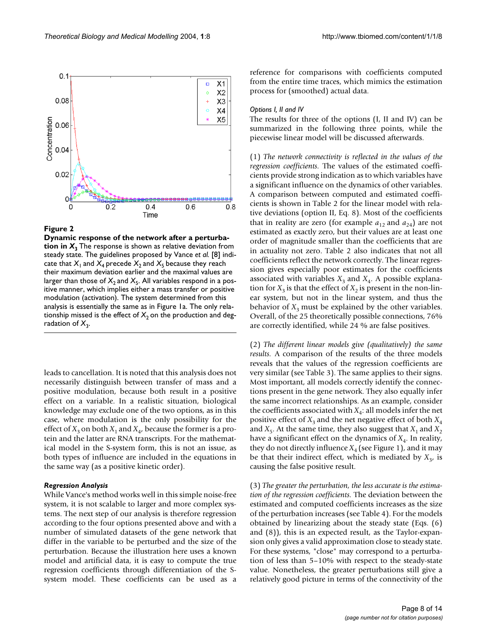<span id="page-7-0"></span>

# **Figure 2**

**Dynamic response of the network after a perturbation in**  $X_3$  The response is shown as relative deviation from steady state. The guidelines proposed by Vance *et al.* [8] indicate that  $X_1$  and  $X_4$  precede  $X_2$  and  $X_5$  because they reach their maximum deviation earlier and the maximal values are larger than those of  $X_2$  and  $X_5$ . All variables respond in a positive manner, which implies either a mass transfer or positive modulation (activation). The system determined from this analysis is essentially the same as in Figure 1a. The only relationship missed is the effect of  $X_2$  on the production and degradation of  $X_3$ .

leads to cancellation. It is noted that this analysis does not necessarily distinguish between transfer of mass and a positive modulation, because both result in a positive effect on a variable. In a realistic situation, biological knowledge may exclude one of the two options, as in this case, where modulation is the only possibility for the effect of  $X_3$  on both  $X_1$  and  $X_4$ , because the former is a protein and the latter are RNA transcripts. For the mathematical model in the S-system form, this is not an issue, as both types of influence are included in the equations in the same way (as a positive kinetic order).

#### *Regression Analysis*

While Vance's method works well in this simple noise-free system, it is not scalable to larger and more complex systems. The next step of our analysis is therefore regression according to the four options presented above and with a number of simulated datasets of the gene network that differ in the variable to be perturbed and the size of the perturbation. Because the illustration here uses a known model and artificial data, it is easy to compute the true regression coefficients through differentiation of the Ssystem model. These coefficients can be used as a reference for comparisons with coefficients computed from the entire time traces, which mimics the estimation process for (smoothed) actual data.

#### *Options I, II and IV*

The results for three of the options (I, II and IV) can be summarized in the following three points, while the piecewise linear model will be discussed afterwards.

(1) *The network connectivity is reflected in the values of the regression coefficients.* The values of the estimated coefficients provide strong indication as to which variables have a significant influence on the dynamics of other variables. A comparison between computed and estimated coefficients is shown in Table 2 for the linear model with relative deviations (option II, Eq. 8). Most of the coefficients that in reality are zero (for example  $a_{12}$  and  $a_{24}$ ) are not estimated as exactly zero, but their values are at least one order of magnitude smaller than the coefficients that are in actuality not zero. Table 2 also indicates that not all coefficients reflect the network correctly. The linear regression gives especially poor estimates for the coefficients associated with variables  $X_3$  and  $X_4$ . A possible explanation for  $X_3$  is that the effect of  $X_2$  is present in the non-linear system, but not in the linear system, and thus the behavior of  $X_3$  must be explained by the other variables. Overall, of the 25 theoretically possible connections, 76% are correctly identified, while 24 % are false positives.

(2) *The different linear models give (qualitatively) the same results.* A comparison of the results of the three models reveals that the values of the regression coefficients are very similar (see Table [3](#page-9-0)). The same applies to their signs. Most important, all models correctly identify the connections present in the gene network. They also equally infer the same incorrect relationships. As an example, consider the coefficients associated with  $X_4$ : all models infer the net positive effect of  $X_3$  and the net negative effect of both  $X_4$ and  $X_5$ . At the same time, they also suggest that  $X_1$  and  $X_2$ have a significant effect on the dynamics of  $X_4$ . In reality, they do not directly influence  $X_4$  (see Figure 1), and it may be that their indirect effect, which is mediated by  $X_3$ , is causing the false positive result.

(3) *The greater the perturbation, the less accurate is the estimation of the regression coefficients.* The deviation between the estimated and computed coefficients increases as the size of the perturbation increases (see Table [4](#page-10-0)). For the models obtained by linearizing about the steady state (Eqs. (6) and (8)), this is an expected result, as the Taylor-expansion only gives a valid approximation close to steady state. For these systems, "close" may correspond to a perturbation of less than 5–10% with respect to the steady-state value. Nonetheless, the greater perturbations still give a relatively good picture in terms of the connectivity of the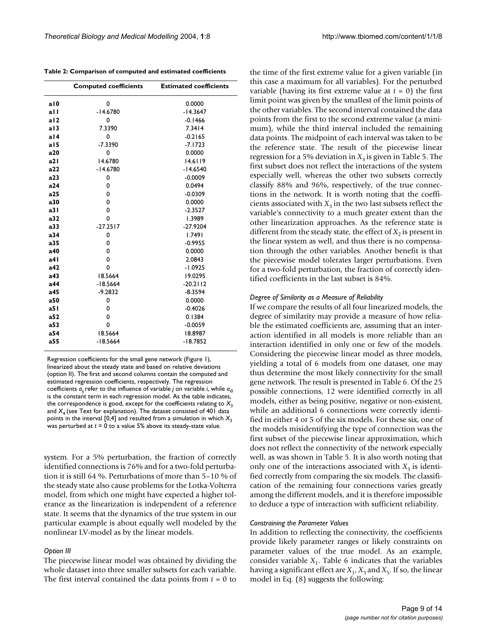**Table 2: Comparison of computed and estimated coefficients**

|     | <b>Computed coefficients</b> | <b>Estimated coefficients</b> |
|-----|------------------------------|-------------------------------|
| a10 | 0                            | 0.0000                        |
| all | $-14.6780$                   | $-14.3647$                    |
| a12 | $\mathbf 0$                  | $-0.1466$                     |
| a13 | 7.3390                       | 7.3414                        |
| a14 | 0                            | $-0.2165$                     |
| a15 | $-7.3390$                    | $-7.1723$                     |
| a20 | 0                            | 0.0000                        |
| a21 | 14.6780                      | 14.6119                       |
| a22 | $-14.6780$                   | $-14.6540$                    |
| a23 | 0                            | $-0.0009$                     |
| a24 | $\mathbf 0$                  | 0.0494                        |
| a25 | 0                            | $-0.0309$                     |
| a30 | 0                            | 0.0000                        |
| a31 | $\mathbf 0$                  | $-2.3527$                     |
| a32 | $\Omega$                     | 1.3989                        |
| a33 | $-27.2517$                   | $-27.9204$                    |
| a34 | 0                            | 1.7491                        |
| a35 | 0                            | $-0.9955$                     |
| a40 | $\mathbf 0$                  | 0.0000                        |
| a41 | $\mathbf 0$                  | 2.0843                        |
| a42 | $\mathbf 0$                  | $-1.0925$                     |
| a43 | 18.5664                      | 19.0295                       |
| a44 | $-18.5664$                   | $-20.2112$                    |
| a45 | $-9.2832$                    | $-8.3594$                     |
| a50 | 0                            | 0.0000                        |
| a51 | 0                            | $-0.4026$                     |
| a52 | $\mathbf 0$                  | 0.1384                        |
| a53 | 0                            | $-0.0059$                     |
| a54 | 18.5664                      | 18.8987                       |
| a55 | $-18.5664$                   | $-18.7852$                    |

Regression coefficients for the small gene network (Figure 1), linearized about the steady state and based on relative deviations (option II). The first and second columns contain the computed and estimated regression coefficients, respectively. The regression coefficients  $a_{ii}$  refer to the influence of variable *j* on variable *i*, while  $a_{i0}$ is the constant term in each regression model. As the table indicates, the correspondence is good, except for the coefficients relating to  $X_3$ and *X*4 (see Text for explanation). The dataset consisted of 401 data points in the interval [0,4] and resulted from a simulation in which  $X_3$ was perturbed at  $t = 0$  to a value 5% above its steady-state value.

system. For a 5% perturbation, the fraction of correctly identified connections is 76% and for a two-fold perturbation it is still 64 %. Perturbations of more than 5–10 % of the steady state also cause problems for the Lotka-Volterra model, from which one might have expected a higher tolerance as the linearization is independent of a reference state. It seems that the dynamics of the true system in our particular example is about equally well modeled by the nonlinear LV-model as by the linear models.

#### *Option III*

The piecewise linear model was obtained by dividing the whole dataset into three smaller subsets for each variable. The first interval contained the data points from *t* = 0 to

the time of the first extreme value for a given variable (in this case a maximum for all variables). For the perturbed variable (having its first extreme value at  $t = 0$ ) the first limit point was given by the smallest of the limit points of the other variables. The second interval contained the data points from the first to the second extreme value (a minimum), while the third interval included the remaining data points. The midpoint of each interval was taken to be the reference state. The result of the piecewise linear regression for a 5% deviation in  $X_3$  is given in Table [5.](#page-10-1) The first subset does not reflect the interactions of the system especially well, whereas the other two subsets correctly classify 88% and 96%, respectively, of the true connections in the network. It is worth noting that the coefficients associated with  $X_3$  in the two last subsets reflect the variable's connectivity to a much greater extent than the other linearization approaches. As the reference state is different from the steady state, the effect of  $X_2$  is present in the linear system as well, and thus there is no compensation through the other variables. Another benefit is that the piecewise model tolerates larger perturbations. Even for a two-fold perturbation, the fraction of correctly identified coefficients in the last subset is 84%.

#### *Degree of Similarity as a Measure of Reliability*

If we compare the results of all four linearized models, the degree of similarity may provide a measure of how reliable the estimated coefficients are, assuming that an interaction identified in all models is more reliable than an interaction identified in only one or few of the models. Considering the piecewise linear model as three models, yielding a total of 6 models from one dataset, one may thus determine the most likely connectivity for the small gene network. The result is presented in Table [6.](#page-10-2) Of the 25 possible connections, 12 were identified correctly in all models, either as being positive, negative or non-existent, while an additional 6 connections were correctly identified in either 4 or 5 of the six models. For these six, one of the models misidentifying the type of connection was the first subset of the piecewise linear approximation, which does not reflect the connectivity of the network especially well, as was shown in Table [5](#page-10-1). It is also worth noting that only one of the interactions associated with  $X_3$  is identified correctly from comparing the six models. The classification of the remaining four connections varies greatly among the different models, and it is therefore impossible to deduce a type of interaction with sufficient reliability.

#### *Constraining the Parameter Values*

In addition to reflecting the connectivity, the coefficients provide likely parameter ranges or likely constraints on parameter values of the true model. As an example, consider variable  $X_1$ . Table [6](#page-10-2) indicates that the variables having a significant effect are  $X_1$ ,  $X_3$  and  $X_5$ . If so, the linear model in Eq. (8) suggests the following: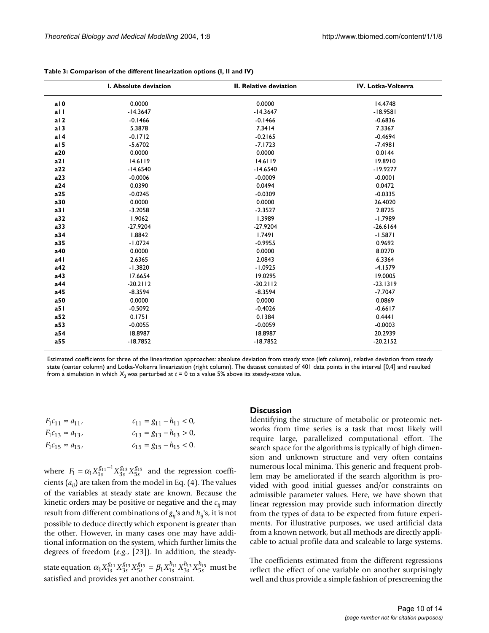|                 | I. Absolute deviation | II. Relative deviation | IV. Lotka-Volterra |
|-----------------|-----------------------|------------------------|--------------------|
| al0             | 0.0000                | 0.0000                 | 14.4748            |
| all             | $-14.3647$            | $-14.3647$             | $-18.9581$         |
| a12             | $-0.1466$             | $-0.1466$              | $-0.6836$          |
| al <sub>3</sub> | 5.3878                | 7.3414                 | 7.3367             |
| a14             | $-0.1712$             | $-0.2165$              | $-0.4694$          |
| al 5            | $-5.6702$             | $-7.1723$              | $-7.4981$          |
| a20             | 0.0000                | 0.0000                 | 0.0144             |
| a21             | 14.6119               | 14.6119                | 19.8910            |
| a22             | $-14.6540$            | $-14.6540$             | $-19.9277$         |
| a23             | $-0.0006$             | $-0.0009$              | $-0.0001$          |
| a24             | 0.0390                | 0.0494                 | 0.0472             |
| a25             | $-0.0245$             | $-0.0309$              | $-0.0335$          |
| a30             | 0.0000                | 0.0000                 | 26.4020            |
| a3 l            | $-3.2058$             | $-2.3527$              | 2.8725             |
| a32             | 1.9062                | 1.3989                 | $-1.7989$          |
| a33             | $-27.9204$            | $-27.9204$             | $-26.6164$         |
| a34             | 1.8842                | 1.7491                 | $-1.5871$          |
| a35             | $-1.0724$             | $-0.9955$              | 0.9692             |
| a40             | 0.0000                | 0.0000                 | 8.0270             |
| a4I             | 2.6365                | 2.0843                 | 6.3364             |
| a42             | $-1.3820$             | $-1.0925$              | $-4.1579$          |
| a43             | 17.6654               | 19.0295                | 19.0005            |
| a44             | $-20.2112$            | $-20.2112$             | $-23.1319$         |
| a45             | $-8.3594$             | $-8.3594$              | $-7.7047$          |
| a50             | 0.0000                | 0.0000                 | 0.0869             |
| a51             | $-0.5092$             | $-0.4026$              | $-0.6617$          |
| a52             | 0.1751                | 0.1384                 | 0.4441             |
| a <sub>53</sub> | $-0.0055$             | $-0.0059$              | $-0.0003$          |
| a54             | 18.8987               | 18.8987                | 20.2939            |
| a55             | $-18.7852$            | $-18.7852$             | $-20.2152$         |

<span id="page-9-0"></span>

Estimated coefficients for three of the linearization approaches: absolute deviation from steady state (left column), relative deviation from steady state (center column) and Lotka-Volterra linearization (right column). The dataset consisted of 401 data points in the interval [0,4] and resulted from a simulation in which  $X_3$  was perturbed at  $t = 0$  to a value 5% above its steady-state value.

| $F_1 c_{11} \approx a_{11}$ , | $c_{11} = g_{11} - h_{11} < 0,$  |
|-------------------------------|----------------------------------|
| $F_1c_{13} \approx a_{13}$ ,  | $c_{13} = g_{13} - h_{13} > 0$ , |
| $F_1c_{15} \approx a_{15}$ ,  | $c_{15} = g_{15} - h_{15} < 0.$  |

where  $F_1 = \alpha_1 X_{1s}^{g_{11}-1} X_{3s}^{g_{13}} X_{5s}^{g_{15}}$  and the regression coefficients  $(a_{ij})$  are taken from the model in Eq. (4). The values of the variables at steady state are known. Because the kinetic orders may be positive or negative and the *cij* may result from different combinations of  $g_{ij}$ 's and  $h_{ij}$ 's, it is not possible to deduce directly which exponent is greater than the other. However, in many cases one may have additional information on the system, which further limits the degrees of freedom (*e.g.*, [23]). In addition, the steadystate equation  $\alpha_1 X_{1s}^{g_{11}} X_{3s}^{g_{13}} X_{5s}^{g_{15}} = \beta_1 X_{1s}^{h_{11}} X_{3s}^{h_{13}} X_{5s}^{h_{15}}$  must be satisfied and provides yet another constraint. *s g s*  $g_1 = \alpha_1 X_{1s}^{g_{11}-1} X_{3s}^{g_{13}} X_{5s}^{g_{15}}$ *s g s g s h s h*  $= \beta_1 X_{1s}^{h_{11}} X_{3s}^{h_{13}} X_{5s}^{h_1}$ 

#### **Discussion**

Identifying the structure of metabolic or proteomic networks from time series is a task that most likely will require large, parallelized computational effort. The search space for the algorithms is typically of high dimension and unknown structure and very often contains numerous local minima. This generic and frequent problem may be ameliorated if the search algorithm is provided with good initial guesses and/or constraints on admissible parameter values. Here, we have shown that linear regression may provide such information directly from the types of data to be expected from future experiments. For illustrative purposes, we used artificial data from a known network, but all methods are directly applicable to actual profile data and scaleable to large systems.

The coefficients estimated from the different regressions reflect the effect of one variable on another surprisingly well and thus provide a simple fashion of prescreening the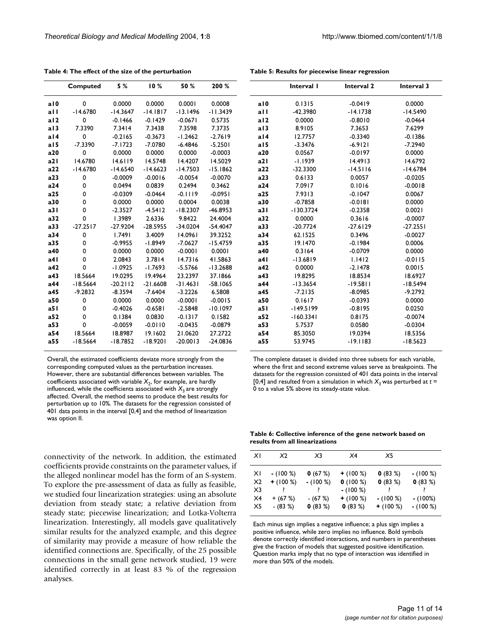|                 | Computed    | 5 %        | 10%        | 50 %       | 200 %      |
|-----------------|-------------|------------|------------|------------|------------|
| a10             | 0           | 0.0000     | 0.0000     | 0.0001     | 0.0008     |
| all             | $-14.6780$  | $-14.3647$ | $-14.1817$ | $-13.1496$ | $-11.3439$ |
| al <sub>2</sub> | $\mathbf 0$ | $-0.1466$  | $-0.1429$  | $-0.0671$  | 0.5735     |
| a13             | 7.3390      | 7.3414     | 7.3438     | 7.3598     | 7.3735     |
| a14             | 0           | $-0.2165$  | $-0.3673$  | $-1.2462$  | $-2.7619$  |
| a <sub>15</sub> | $-7.3390$   | $-7.1723$  | $-7.0780$  | $-6.4846$  | $-5.2501$  |
| a20             | 0           | 0.0000     | 0.0000     | 0.0000     | $-0.0003$  |
| a21             | 14.6780     | 14.6119    | 14.5748    | 14.4207    | 14.5029    |
| a22             | $-14.6780$  | $-14.6540$ | $-14.6623$ | $-14.7503$ | $-15.1862$ |
| a23             | 0           | $-0.0009$  | $-0.0016$  | $-0.0054$  | $-0.0070$  |
| a24             | 0           | 0.0494     | 0.0839     | 0.2494     | 0.3462     |
| a25             | 0           | $-0.0309$  | $-0.0464$  | $-0.1119$  | $-0.0951$  |
| a30             | 0           | 0.0000     | 0.0000     | 0.0004     | 0.0038     |
| a3 I            | 0           | $-2.3527$  | $-4.5412$  | $-18.2307$ | $-46.8953$ |
| a32             | 0           | 1.3989     | 2.6336     | 9.8422     | 24.4004    |
| a33             | $-27.2517$  | $-27.9204$ | $-28.5955$ | $-34.0204$ | $-54.4047$ |
| a34             | 0           | 1.7491     | 3.4009     | 14.0961    | 39.3252    |
| a35             | 0           | $-0.9955$  | $-1.8949$  | $-7.0627$  | $-15.4759$ |
| a40             | 0           | 0.0000     | 0.0000     | $-0.0001$  | 0.0001     |
| a41             | 0           | 2.0843     | 3.7814     | 14.7316    | 41.5863    |
| a42             | 0           | $-1.0925$  | $-1.7693$  | $-5.5766$  | $-13.2688$ |
| a43             | 18.5664     | 19.0295    | 19.4964    | 23.2397    | 37.1866    |
| a44             | $-18.5664$  | $-20.2112$ | $-21.6608$ | $-31.4631$ | $-58.1065$ |
| a45             | $-9.2832$   | $-8.3594$  | $-7.6404$  | $-3.2226$  | 6.5808     |
| a50             | 0           | 0.0000     | 0.0000     | $-0.0001$  | $-0.0015$  |
| a51             | 0           | $-0.4026$  | $-0.6581$  | $-2.5848$  | $-10.1097$ |
| a52             | 0           | 0.1384     | 0.0830     | $-0.1317$  | 0.1582     |
| a <sub>53</sub> | 0           | $-0.0059$  | $-0.0110$  | $-0.0435$  | $-0.0879$  |
| a54             | 18.5664     | 18.8987    | 19.1602    | 21.0620    | 27.2722    |
| a55             | $-18.5664$  | $-18.7852$ | $-18.9201$ | $-20.0013$ | $-24.0836$ |

<span id="page-10-0"></span>**Table 4: The effect of the size of the perturbation**

Overall, the estimated coefficients deviate more strongly from the corresponding computed values as the perturbation increases. However, there are substantial differences between variables. The coefficients associated with variable  $X_2$ , for example, are hardly influenced, while the coefficients associated with  $X_3$  are strongly affected. Overall, the method seems to produce the best results for perturbation up to 10%. The datasets for the regression consisted of 401 data points in the interval [0,4] and the method of linearization was option II.

connectivity of the network. In addition, the estimated coefficients provide constraints on the parameter values, if the alleged nonlinear model has the form of an S-system. To explore the pre-assessment of data as fully as feasible, we studied four linearization strategies: using an absolute deviation from steady state; a relative deviation from steady state; piecewise linearization; and Lotka-Volterra linearization. Interestingly, all models gave qualitatively similar results for the analyzed example, and this degree of similarity may provide a measure of how reliable the identified connections are. Specifically, of the 25 possible connections in the small gene network studied, 19 were identified correctly in at least 83 % of the regression analyses.

<span id="page-10-1"></span>

|      | Interval I  | Interval 2 | Interval 3 |
|------|-------------|------------|------------|
| al0  | 0.1315      | $-0.0419$  | 0.0000     |
| all  | $-42.3980$  | $-14.1738$ | $-14.5490$ |
| a12  | 0.0000      | $-0.8010$  | $-0.0464$  |
| a13  | 8.9105      | 7.3653     | 7.6299     |
| a14  | 12.7757     | $-0.3340$  | $-0.1386$  |
| al 5 | $-3.3476$   | $-6.9121$  | $-7.2940$  |
| a20  | 0.0567      | $-0.0197$  | 0.0000     |
| a21  | $-1.1939$   | 14.4913    | 14.6792    |
| a22  | $-32.3300$  | $-14.5116$ | $-14.6784$ |
| a23  | 0.6133      | 0.0057     | $-0.0205$  |
| a24  | 7.0917      | 0.1016     | $-0.0018$  |
| a25  | 7.9313      | $-0.1047$  | 0.0067     |
| a30  | $-0.7858$   | $-0.0181$  | 0.0000     |
| a31  | $-130.3724$ | $-0.2358$  | 0.0021     |
| a32  | 0.0000      | 0.3616     | $-0.0007$  |
| a33  | $-20.7724$  | $-27.6129$ | $-27.2551$ |
| a34  | 62.1525     | 0.3496     | $-0.0027$  |
| a35  | 19.1470     | $-0.1984$  | 0.0006     |
| a40  | 0.3164      | $-0.0709$  | 0.0000     |
| a4I  | $-13.6819$  | 1.1412     | $-0.0115$  |
| a42  | 0.0000      | $-2.1478$  | 0.0015     |
| a43  | 19.8295     | 18.8534    | 18.6927    |
| a44  | $-13.3654$  | $-19.5811$ | $-18.5494$ |
| a45  | $-7.2135$   | $-8.0985$  | $-9.2792$  |
| a50  | 0.1617      | $-0.0393$  | 0.0000     |
| a5 I | $-149.5199$ | $-0.8195$  | 0.0250     |
| a52  | $-160.3341$ | 0.8175     | $-0.0074$  |
| a53  | 5.7537      | 0.0580     | $-0.0304$  |
| a54  | 85.3050     | 19.0394    | 18.5356    |
| a55  | 53.9745     | $-19.1183$ | $-18.5623$ |

The complete dataset is divided into three subsets for each variable, where the first and second extreme values serve as breakpoints. The datasets for the regression consisted of 401 data points in the interval [0,4] and resulted from a simulation in which  $X_3$  was perturbed at  $t =$ 0 to a value 5% above its steady-state value.

<span id="page-10-2"></span>**Table 6: Collective inference of the gene network based on results from all linearizations**

| ΧI             | X2           | X3          | X4          | X5          |            |
|----------------|--------------|-------------|-------------|-------------|------------|
|                |              |             |             |             |            |
| ΧI             | $-(100%)$    | 0(67%)      | $+ (100\%)$ | 0(83%)      | $-(100%)$  |
| X <sub>2</sub> | $+ (100 \%)$ | $- (100\%)$ | 0(100%)     | 0(83%)      | 0(83%)     |
| X3             |              |             | $-(100%)$   |             |            |
| X4             | $+$ (67 %)   | - (67 %)    | $+ (100\%)$ | $-(100%)$   | $- (100%)$ |
| X5             | - (83 %)     | 0(83%)      | 0(83%)      | $+ (100\%)$ | $-(100%)$  |
|                |              |             |             |             |            |

Each minus sign implies a negative influence; a plus sign implies a positive influence, while zero implies no influence. Bold symbols denote correctly identified interactions, and numbers in parentheses give the fraction of models that suggested positive identification. Question marks imply that no type of interaction was identified in more than 50% of the models.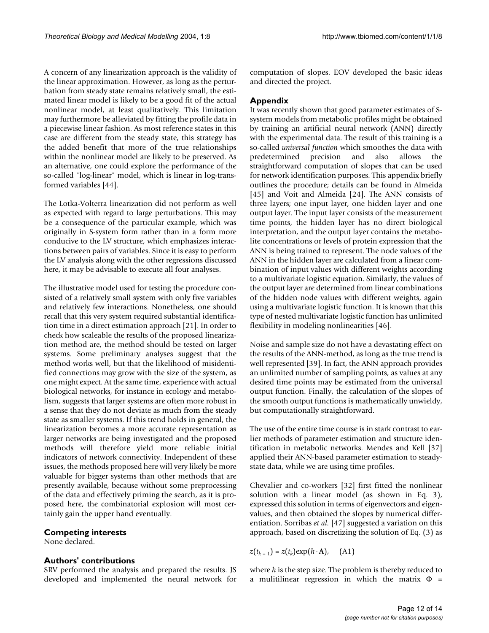A concern of any linearization approach is the validity of the linear approximation. However, as long as the perturbation from steady state remains relatively small, the estimated linear model is likely to be a good fit of the actual nonlinear model, at least qualitatively. This limitation may furthermore be alleviated by fitting the profile data in a piecewise linear fashion. As most reference states in this case are different from the steady state, this strategy has the added benefit that more of the true relationships within the nonlinear model are likely to be preserved. As an alternative, one could explore the performance of the so-called "log-linear" model, which is linear in log-transformed variables [44].

The Lotka-Volterra linearization did not perform as well as expected with regard to large perturbations. This may be a consequence of the particular example, which was originally in S-system form rather than in a form more conducive to the LV structure, which emphasizes interactions between pairs of variables. Since it is easy to perform the LV analysis along with the other regressions discussed here, it may be advisable to execute all four analyses.

The illustrative model used for testing the procedure consisted of a relatively small system with only five variables and relatively few interactions. Nonetheless, one should recall that this very system required substantial identification time in a direct estimation approach [21]. In order to check how scaleable the results of the proposed linearization method are, the method should be tested on larger systems. Some preliminary analyses suggest that the method works well, but that the likelihood of misidentified connections may grow with the size of the system, as one might expect. At the same time, experience with actual biological networks, for instance in ecology and metabolism, suggests that larger systems are often more robust in a sense that they do not deviate as much from the steady state as smaller systems. If this trend holds in general, the linearization becomes a more accurate representation as larger networks are being investigated and the proposed methods will therefore yield more reliable initial indicators of network connectivity. Independent of these issues, the methods proposed here will very likely be more valuable for bigger systems than other methods that are presently available, because without some preprocessing of the data and effectively priming the search, as it is proposed here, the combinatorial explosion will most certainly gain the upper hand eventually.

# **Competing interests**

None declared.

# **Authors' contributions**

SRV performed the analysis and prepared the results. JS developed and implemented the neural network for computation of slopes. EOV developed the basic ideas and directed the project.

# **Appendix**

It was recently shown that good parameter estimates of Ssystem models from metabolic profiles might be obtained by training an artificial neural network (ANN) directly with the experimental data. The result of this training is a so-called *universal function* which smoothes the data with predetermined precision and also allows the straightforward computation of slopes that can be used for network identification purposes. This appendix briefly outlines the procedure; details can be found in Almeida [45] and Voit and Almeida [24]. The ANN consists of three layers; one input layer, one hidden layer and one output layer. The input layer consists of the measurement time points, the hidden layer has no direct biological interpretation, and the output layer contains the metabolite concentrations or levels of protein expression that the ANN is being trained to represent. The node values of the ANN in the hidden layer are calculated from a linear combination of input values with different weights according to a multivariate logistic equation. Similarly, the values of the output layer are determined from linear combinations of the hidden node values with different weights, again using a multivariate logistic function. It is known that this type of nested multivariate logistic function has unlimited flexibility in modeling nonlinearities [46].

Noise and sample size do not have a devastating effect on the results of the ANN-method, as long as the true trend is well represented [39]. In fact, the ANN approach provides an unlimited number of sampling points, as values at any desired time points may be estimated from the universal output function. Finally, the calculation of the slopes of the smooth output functions is mathematically unwieldy, but computationally straightforward.

The use of the entire time course is in stark contrast to earlier methods of parameter estimation and structure identification in metabolic networks. Mendes and Kell [37] applied their ANN-based parameter estimation to steadystate data, while we are using time profiles.

Chevalier and co-workers [32] first fitted the nonlinear solution with a linear model (as shown in Eq. 3), expressed this solution in terms of eigenvectors and eigenvalues, and then obtained the slopes by numerical differentiation. Sorribas *et al.* [47] suggested a variation on this approach, based on discretizing the solution of Eq. (3) as

$$
z(t_{k+1}) = z(t_k) \exp(h \cdot A), \quad (A1)
$$

where *h* is the step size. The problem is thereby reduced to a mulitilinear regression in which the matrix  $\Phi =$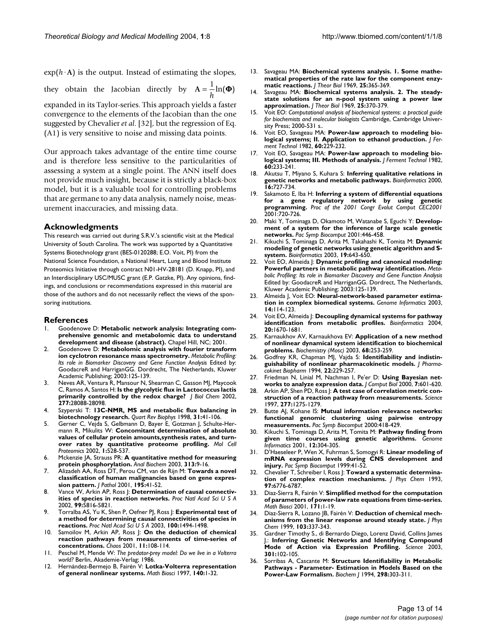$exp(h \cdot A)$  is the output. Instead of estimating the slopes,

they obtain the Jacobian directly by  $A = \frac{1}{h} \ln(\Phi)$ 

expanded in its Taylor-series. This approach yields a faster convergence to the elements of the Jacobian than the one suggested by Chevalier *et al*. [32], but the regression of Eq. (A1) is very sensitive to noise and missing data points.

Our approach takes advantage of the entire time course and is therefore less sensitive to the particularities of assessing a system at a single point. The ANN itself does not provide much insight, because it is strictly a black-box model, but it is a valuable tool for controlling problems that are germane to any data analysis, namely noise, measurement inaccuracies, and missing data.

#### **Acknowledgments**

This research was carried out during S.R.V.'s scientific visit at the Medical University of South Carolina. The work was supported by a Quantitative Systems Biotechnology grant (BES-0120288; E.O. Voit, PI) from the National Science Foundation, a National Heart, Lung and Blood Institute Proteomics Initiative through contract N01-HV-28181 (D. Knapp, PI), and an Interdisciplinary USC/MUSC grant (E.P. Gatzke, PI). Any opinions, findings, and conclusions or recommendations expressed in this material are those of the authors and do not necessarily reflect the views of the sponsoring institutions.

#### **References**

- 1. Goodenowe D: **Metabolic network analysis: Integrating comprehensive genomic and metabolomic data to understand development and disease (abstract).** Chapel Hill, NC; 2001.
- 2. Goodenowe D: **Metabolomic analysis with fourier transform ion cyclotron resonance mass spectrometry.** *Metabolic Profiling: Its role in Biomarker Discovery and Gene Function Analysis* Edited by: GoodacreR and HarriganGG. Dordrecht, The Netherlands, Kluwer Academic Publishing; 2003:125-139.
- 3. Neves AR, Ventura R, Mansour N, Shearman C, Gasson MJ, Maycook C, Ramos A, Santos H: **[Is the glycolytic flux in Lactococcus lactis](http://www.ncbi.nlm.nih.gov/entrez/query.fcgi?cmd=Retrieve&db=PubMed&dopt=Abstract&list_uids=12011086) [primarily controlled by the redox charge?](http://www.ncbi.nlm.nih.gov/entrez/query.fcgi?cmd=Retrieve&db=PubMed&dopt=Abstract&list_uids=12011086)** *J Biol Chem* 2002, **277:**28088-28098.
- 4. Szyperski T: **13C-NMR, MS and metabolic flux balancing in biotechnology research.** *Quart Rev Biophys* 1998, **31:**41-106.
- 5. Gerner C, Vejda S, Gelbmann D, Bayer E, Gotzman J, Schulte-Hermann R, Mikulits W: **[Concomitant determination of absolute](http://www.ncbi.nlm.nih.gov/entrez/query.fcgi?cmd=Retrieve&db=PubMed&dopt=Abstract&list_uids=12239281) [values of cellular protein amounts,synthesis rates, and turn](http://www.ncbi.nlm.nih.gov/entrez/query.fcgi?cmd=Retrieve&db=PubMed&dopt=Abstract&list_uids=12239281)[over rates by quantitative proteome profiling.](http://www.ncbi.nlm.nih.gov/entrez/query.fcgi?cmd=Retrieve&db=PubMed&dopt=Abstract&list_uids=12239281)** *Mol Cell Proteomics* 2002, **1:**528-537.
- 6. Mckenzie JA, Strauss PR: **[A quantitative method for measuring](http://www.ncbi.nlm.nih.gov/entrez/query.fcgi?cmd=Retrieve&db=PubMed&dopt=Abstract&list_uids=12576052) [protein phosphorylation.](http://www.ncbi.nlm.nih.gov/entrez/query.fcgi?cmd=Retrieve&db=PubMed&dopt=Abstract&list_uids=12576052)** *Anal Biochem* 2003, **313:**9-16.
- 7. Alizadeh AA, Ross DT, Perou CM, van de Rijn M: **[Towards a novel](http://www.ncbi.nlm.nih.gov/entrez/query.fcgi?cmd=Retrieve&db=PubMed&dopt=Abstract&list_uids=11568890) [classification of human malignancies based on gene expres](http://www.ncbi.nlm.nih.gov/entrez/query.fcgi?cmd=Retrieve&db=PubMed&dopt=Abstract&list_uids=11568890)[sion pattern.](http://www.ncbi.nlm.nih.gov/entrez/query.fcgi?cmd=Retrieve&db=PubMed&dopt=Abstract&list_uids=11568890)** *J Pathol* 2001, **195:**41-52.
- 8. Vance W, Arkin AP, Ross J: **[Determination of causal connectiv](http://www.ncbi.nlm.nih.gov/entrez/query.fcgi?cmd=Retrieve&db=PubMed&dopt=Abstract&list_uids=11983885)[ities of species in reaction networks.](http://www.ncbi.nlm.nih.gov/entrez/query.fcgi?cmd=Retrieve&db=PubMed&dopt=Abstract&list_uids=11983885)** *Proc Natl Acad Sci U S A* 2002, **99:**5816-5821.
- 9. Torralba AS, Yu K, Shen P, Oefner PJ, Ross J: **[Experimental test of](http://www.ncbi.nlm.nih.gov/entrez/query.fcgi?cmd=Retrieve&db=PubMed&dopt=Abstract&list_uids=12576555) [a method for determining causal connectivities of species in](http://www.ncbi.nlm.nih.gov/entrez/query.fcgi?cmd=Retrieve&db=PubMed&dopt=Abstract&list_uids=12576555) [reactions.](http://www.ncbi.nlm.nih.gov/entrez/query.fcgi?cmd=Retrieve&db=PubMed&dopt=Abstract&list_uids=12576555)** *Proc Natl Acad Sci U S A* 2003, **100:**1494-1498.
- 10. Samoilov M, Arkin AP, Ross J: **[On the deduction of chemical](http://www.ncbi.nlm.nih.gov/entrez/query.fcgi?cmd=Retrieve&db=PubMed&dopt=Abstract&list_uids=12779446) [reaction pathways from measurements of time-series of](http://www.ncbi.nlm.nih.gov/entrez/query.fcgi?cmd=Retrieve&db=PubMed&dopt=Abstract&list_uids=12779446) [concentrations.](http://www.ncbi.nlm.nih.gov/entrez/query.fcgi?cmd=Retrieve&db=PubMed&dopt=Abstract&list_uids=12779446)** *Chaos* 2001, **11:**108-114.
- 11. Peschel M, Mende W: *The predator-prey model: Do we live in a Volterra world?* Berlin, Akademie-Verlag; 1986.
- 12. Hernández-Bermejo B, Fairén V: **[Lotka-Volterra representation](http://www.ncbi.nlm.nih.gov/entrez/query.fcgi?cmd=Retrieve&db=PubMed&dopt=Abstract&list_uids=9029910) [of general nonlinear systems.](http://www.ncbi.nlm.nih.gov/entrez/query.fcgi?cmd=Retrieve&db=PubMed&dopt=Abstract&list_uids=9029910)** *Math Biosci* 1997, **140:**1-32.
- 13. Savageau MA: **[Biochemical systems analysis. 1. Some mathe](http://www.ncbi.nlm.nih.gov/entrez/query.fcgi?cmd=Retrieve&db=PubMed&dopt=Abstract&list_uids=5387046)[matical properties of the rate law for the component enzy](http://www.ncbi.nlm.nih.gov/entrez/query.fcgi?cmd=Retrieve&db=PubMed&dopt=Abstract&list_uids=5387046)[matic reactions.](http://www.ncbi.nlm.nih.gov/entrez/query.fcgi?cmd=Retrieve&db=PubMed&dopt=Abstract&list_uids=5387046)** *J Theor Biol* 1969, **25:**365-369.
- 14. Savageau MA: **[Biochemical systems analysis. 2. The steady](http://www.ncbi.nlm.nih.gov/entrez/query.fcgi?cmd=Retrieve&db=PubMed&dopt=Abstract&list_uids=5387047)[state solutions for an n-pool system using a power law](http://www.ncbi.nlm.nih.gov/entrez/query.fcgi?cmd=Retrieve&db=PubMed&dopt=Abstract&list_uids=5387047) [approximation.](http://www.ncbi.nlm.nih.gov/entrez/query.fcgi?cmd=Retrieve&db=PubMed&dopt=Abstract&list_uids=5387047)** *J Theor Biol* 1969, **25:**370-379.
- 15. Voit EO: *Computational analysis of biochemical systems: a practical guide for biochemists and molecular biologists* Cambridge, Cambridge University Press; 2000-531 s..
- Voit EO, Savageau MA: Power-law approach to modeling bio**logical systems; II. Application to ethanol production.** *J Ferment Technol* 1982, **60:**229-232.
- 17. Voit EO, Savageau MA: **Power-law approach to modeling biological systems; III. Methods of analysis.** *J Ferment Technol* 1982, **60:**233-241.
- 18. Akutsu T, Miyano S, Kuhara S: **[Inferring qualitative relations in](http://www.ncbi.nlm.nih.gov/entrez/query.fcgi?cmd=Retrieve&db=PubMed&dopt=Abstract&list_uids=11099258) [genetic networks and metabolic pathways.](http://www.ncbi.nlm.nih.gov/entrez/query.fcgi?cmd=Retrieve&db=PubMed&dopt=Abstract&list_uids=11099258)** *Bioinformatics* 2000, **16:**727-734.
- 19. Sakamoto E, Iba H: **Inferring a system of differential equations for a gene regulatory network by using genetic programming.** *Proc of the 2001 Congr Evolut Comput CEC2001* 2001:720-726.
- 20. Maki Y, Tominaga D, Okamoto M, Watanabe S, Eguchi Y: **[Develop](http://www.ncbi.nlm.nih.gov/entrez/query.fcgi?cmd=Retrieve&db=PubMed&dopt=Abstract&list_uids=11262963)[ment of a system for the inference of large scale genetic](http://www.ncbi.nlm.nih.gov/entrez/query.fcgi?cmd=Retrieve&db=PubMed&dopt=Abstract&list_uids=11262963) [networks.](http://www.ncbi.nlm.nih.gov/entrez/query.fcgi?cmd=Retrieve&db=PubMed&dopt=Abstract&list_uids=11262963)** *Pac Symp Biocomput* 2001:446-458.
- 21. Kikuchi S, Tominaga D, Arita M, Takahashi K, Tomita M: **[Dynamic](http://www.ncbi.nlm.nih.gov/entrez/query.fcgi?cmd=Retrieve&db=PubMed&dopt=Abstract&list_uids=12651723) [modeling of genetic networks using genetic algorithm and S](http://www.ncbi.nlm.nih.gov/entrez/query.fcgi?cmd=Retrieve&db=PubMed&dopt=Abstract&list_uids=12651723)[system.](http://www.ncbi.nlm.nih.gov/entrez/query.fcgi?cmd=Retrieve&db=PubMed&dopt=Abstract&list_uids=12651723)** *Bioinformatics* 2003, **19:**643-650.
- 22. Voit EO, Almeida J: **Dynamic profiling and canonical modeling: Powerful partners in metabolic pathway identification.** *Metabolic Profiling: Its role in Biomarker Discovery and Gene Function Analysis* Edited by: GoodacreR and HarriganGG. Dordrect, The Netherlands, Kluwer Academic Publishing; 2003:125-139.
- 23. Almeida J, Voit EO: **Neural-network-based parameter estimation in complex biomedical systems.** *Genome Informatics* 2003, **14:**114-123.
- 24. Voit EO, Almeida J: **[Decoupling dynamical systems for pathway](http://www.ncbi.nlm.nih.gov/entrez/query.fcgi?cmd=Retrieve&db=PubMed&dopt=Abstract&list_uids=14988125) [identification from metabolic profiles.](http://www.ncbi.nlm.nih.gov/entrez/query.fcgi?cmd=Retrieve&db=PubMed&dopt=Abstract&list_uids=14988125)** *Bioinformatics* 2004, **20:**1670-1681.
- 25. Karnaukhov AV, Karnaukhova EV: **[Application of a new method](http://www.ncbi.nlm.nih.gov/entrez/query.fcgi?cmd=Retrieve&db=PubMed&dopt=Abstract&list_uids=12733966) [of nonlinear dynamical system identification to biochemical](http://www.ncbi.nlm.nih.gov/entrez/query.fcgi?cmd=Retrieve&db=PubMed&dopt=Abstract&list_uids=12733966) [problems.](http://www.ncbi.nlm.nih.gov/entrez/query.fcgi?cmd=Retrieve&db=PubMed&dopt=Abstract&list_uids=12733966)** *Biochemistry (Mosc)* 2003, **68:**253-259.
- 26. Godfrey KR, Chapman MJ, Vajda S: **[Identifiability and indistin](http://www.ncbi.nlm.nih.gov/entrez/query.fcgi?cmd=Retrieve&db=PubMed&dopt=Abstract&list_uids=7884651)[guishability of nonlinear pharmacokinetic models.](http://www.ncbi.nlm.nih.gov/entrez/query.fcgi?cmd=Retrieve&db=PubMed&dopt=Abstract&list_uids=7884651)** *J Pharmacokinet Biopharm* 1994, **22:**229-257.
- 27. Friedman N, Linial M, Nachman I, Pe'er D: [Using Bayesian net](http://www.ncbi.nlm.nih.gov/entrez/query.fcgi?cmd=Retrieve&db=PubMed&dopt=Abstract&list_uids=11108481)**[works to analyze expression data.](http://www.ncbi.nlm.nih.gov/entrez/query.fcgi?cmd=Retrieve&db=PubMed&dopt=Abstract&list_uids=11108481)** *J Comput Biol* 2000, **7:**601-620.
- 28. Arkin AP, Shen PD, Ross |: A test case of correlation metric con**struction of a reaction pathway from measurements.** *Science* 1997, **277:**1275-1279.
- 29. Butte AJ, Kohane IS: **[Mutual information relevance networks:](http://www.ncbi.nlm.nih.gov/entrez/query.fcgi?cmd=Retrieve&db=PubMed&dopt=Abstract&list_uids=10902190) [functional genomic clustering using pairwise entropy](http://www.ncbi.nlm.nih.gov/entrez/query.fcgi?cmd=Retrieve&db=PubMed&dopt=Abstract&list_uids=10902190) [measurements.](http://www.ncbi.nlm.nih.gov/entrez/query.fcgi?cmd=Retrieve&db=PubMed&dopt=Abstract&list_uids=10902190)** *Pac Symp Biocomput* 2000:418-429.
- 30. Kikuchi S, Tominaga D, Arita M, Tomita M: **Pathway finding from given time courses using genetic algorithms.** *Genome Informatics* 2001, **12:**304-305.
- 31. D'Haeseleer P, Wen X, Fuhrman S, Somogyi R: **[Linear modeling of](http://www.ncbi.nlm.nih.gov/entrez/query.fcgi?cmd=Retrieve&db=PubMed&dopt=Abstract&list_uids=10380184) [mRNA expression levels during CNS development and](http://www.ncbi.nlm.nih.gov/entrez/query.fcgi?cmd=Retrieve&db=PubMed&dopt=Abstract&list_uids=10380184) [injury.](http://www.ncbi.nlm.nih.gov/entrez/query.fcgi?cmd=Retrieve&db=PubMed&dopt=Abstract&list_uids=10380184)** *Pac Symp Biocomput* 1999:41-52.
- 32. Chevalier T, Schreiber I, Ross |: Toward a systematic determina**tion of complex reaction mechanisms.** *J Phys Chem* 1993, **97:**6776-6787.
- 33. Diaz-Sierra R, Fairén V: **[Simplified method for the computation](http://www.ncbi.nlm.nih.gov/entrez/query.fcgi?cmd=Retrieve&db=PubMed&dopt=Abstract&list_uids=11325381) [of parameters of power-law rate equations from time-series.](http://www.ncbi.nlm.nih.gov/entrez/query.fcgi?cmd=Retrieve&db=PubMed&dopt=Abstract&list_uids=11325381)** *Math Biosci* 2001, **171:**1-19.
- 34. Diaz-Sierra R, Lozano JB, Fairén V: **Deduction of chemical mechanisms from the linear response around steady state.** *J Phys Chem* 1999, **103:**337-343.
- 35. Gardner Timothy S., di Bernardo Diego, Lorenz David, Collins James J.: **[Inferring Genetic Networks and Identifying Compound](http://www.ncbi.nlm.nih.gov/entrez/query.fcgi?cmd=Retrieve&db=PubMed&dopt=Abstract&list_uids=12843395) [Mode of Action via Expression Profiling.](http://www.ncbi.nlm.nih.gov/entrez/query.fcgi?cmd=Retrieve&db=PubMed&dopt=Abstract&list_uids=12843395)** *Science* 2003, **301:**102-105.
- 36. Sorribas A, Cascante M: **[Structure Identifiability in Metabolic](http://www.ncbi.nlm.nih.gov/entrez/query.fcgi?cmd=Retrieve&db=PubMed&dopt=Abstract&list_uids=8135735) [Pathways - Parameter- Estimation in Models Based on the](http://www.ncbi.nlm.nih.gov/entrez/query.fcgi?cmd=Retrieve&db=PubMed&dopt=Abstract&list_uids=8135735) [Power-Law Formalism.](http://www.ncbi.nlm.nih.gov/entrez/query.fcgi?cmd=Retrieve&db=PubMed&dopt=Abstract&list_uids=8135735)** *Biochem J* 1994, **298:**303-311.